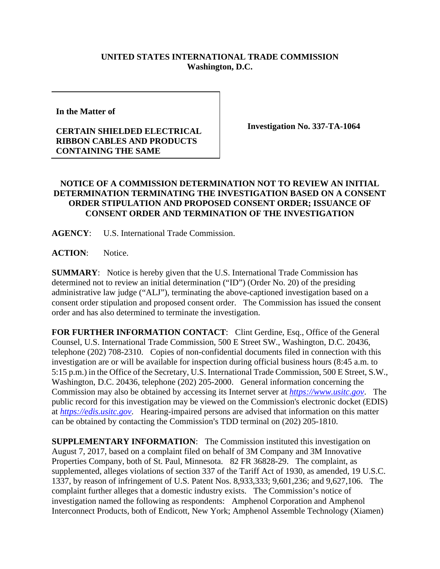## **UNITED STATES INTERNATIONAL TRADE COMMISSION Washington, D.C.**

**In the Matter of** 

## **CERTAIN SHIELDED ELECTRICAL RIBBON CABLES AND PRODUCTS CONTAINING THE SAME**

**Investigation No. 337-TA-1064** 

## **NOTICE OF A COMMISSION DETERMINATION NOT TO REVIEW AN INITIAL DETERMINATION TERMINATING THE INVESTIGATION BASED ON A CONSENT ORDER STIPULATION AND PROPOSED CONSENT ORDER; ISSUANCE OF CONSENT ORDER AND TERMINATION OF THE INVESTIGATION**

**AGENCY**: U.S. International Trade Commission.

**ACTION**: Notice.

**SUMMARY**: Notice is hereby given that the U.S. International Trade Commission has determined not to review an initial determination ("ID") (Order No. 20) of the presiding administrative law judge ("ALJ"), terminating the above-captioned investigation based on a consent order stipulation and proposed consent order. The Commission has issued the consent order and has also determined to terminate the investigation.

**FOR FURTHER INFORMATION CONTACT**: Clint Gerdine, Esq., Office of the General Counsel, U.S. International Trade Commission, 500 E Street SW., Washington, D.C. 20436, telephone (202) 708-2310. Copies of non-confidential documents filed in connection with this investigation are or will be available for inspection during official business hours (8:45 a.m. to 5:15 p.m.) in the Office of the Secretary, U.S. International Trade Commission, 500 E Street, S.W., Washington, D.C. 20436, telephone (202) 205-2000. General information concerning the Commission may also be obtained by accessing its Internet server at *https://www.usitc.gov*. The public record for this investigation may be viewed on the Commission's electronic docket (EDIS) at *https://edis.usitc.gov*. Hearing-impaired persons are advised that information on this matter can be obtained by contacting the Commission's TDD terminal on  $(202)$  205-1810.

**SUPPLEMENTARY INFORMATION**: The Commission instituted this investigation on August 7, 2017, based on a complaint filed on behalf of 3M Company and 3M Innovative Properties Company, both of St. Paul, Minnesota. 82 FR 36828-29. The complaint, as supplemented, alleges violations of section 337 of the Tariff Act of 1930, as amended, 19 U.S.C. 1337, by reason of infringement of U.S. Patent Nos. 8,933,333; 9,601,236; and 9,627,106. The complaint further alleges that a domestic industry exists. The Commission's notice of investigation named the following as respondents: Amphenol Corporation and Amphenol Interconnect Products, both of Endicott, New York; Amphenol Assemble Technology (Xiamen)